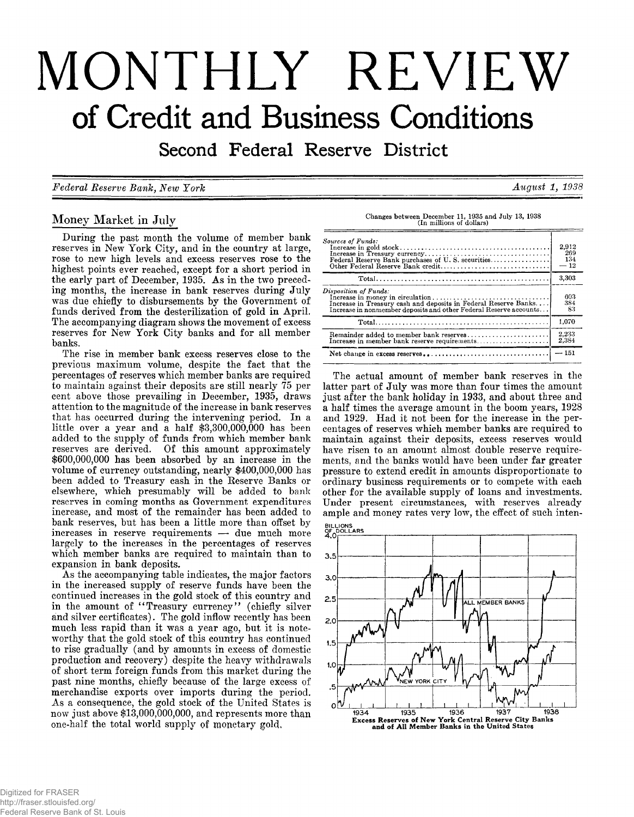# MONTHLY REVIEW **of Credit and Business Conditions**

Second Federal Reserve District

*Federal Eeserve Bank, New York*

*August 1, 1938*

## **Money Market in July**

**During the past month the volume of member bank reserves in New York City, and in the country at large, rose to new high levels and excess reserves rose to the highest points ever reached, except for a short period in the early part of December, 1935. As in the two preceding months, the increase in bank reserves during July was due chiefly to disbursements by the Government of funds derived from the desterilization of gold in April. The accompanying diagram shows the movement of excess reserves for New York City banks and for all member banks.**

**The rise in member bank excess reserves close to the previous maximum volume, despite the fact that the percentages of reserves which member banks are required to maintain against their deposits are still nearly 75 per cent above those prevailing in December, 1935, draws attention to the magnitude of the increase in bank reserves that has occurred during the intervening period. In a little over a year and a half \$3,300,000,000 has been added to the supply of funds from which member bank reserves are derived. Of this amount approximately \$600,000,000 has been absorbed by an increase in the volume of currency outstanding, nearly \$400,000,000 has been added to Treasury cash in the Reserve Banks or elsewhere, which presumably will be added to bank reserves in coming months as Government expenditures increase, and most of the remainder has been added to bank reserves, but has been a little more than offset by increases in reserve requirements — due much more largely to the increases in the percentages of reserves which member banks are required to maintain than to expansion in bank deposits.**

**As the accompanying table indicates, the major factors in the increased supply of reserve funds have been the continued increases in the gold stock of this country and** in the amount of "Treasury currency" (chiefly silver **and silver certificates). The gold inflow recently has been much less rapid than it was a year ago, but it is noteworthy that the gold stock of this country has continued to rise gradually (and by amounts in excess of domestic production and recovery) despite the heavy withdrawals of short term foreign funds from this market during the past nine months, chiefly because of the large excess of merchandise exports over imports during the period. As a consequence, the gold stock of the United States is now just above \$13,000,000,000, and represents more than one-half the total world supply of monetary gold.**

| Changes between December 11, 1935 and July 13, 1938 |                          |  |  |  |
|-----------------------------------------------------|--------------------------|--|--|--|
|                                                     | (In millions of dollars) |  |  |  |

| Sources of Funds:<br>Other Federal Reserve Bank credit                                                                                                        | 2,912<br>269<br>134<br>$-12$ |
|---------------------------------------------------------------------------------------------------------------------------------------------------------------|------------------------------|
| $Total \dots \dots \dots \dots \dots \dots \dots \dots \dots \dots \dots \dots \dots \dots \dots \dots \dots \dots$                                           | 3.303                        |
| Disposition of Funds:<br>Increase in Treasury cash and deposits in Federal Reserve Banks<br>Increase in nonmember deposits and other Federal Reserve accounts | 603<br>384<br>83             |
| $Total. \dots \dots \dots \dots \dots \dots \dots \dots \dots \dots \dots \dots \dots \dots \dots \dots \dots \dots$                                          | 1,070                        |
| Remainder added to member bank reserves<br>Increase in member bank reserve requirements                                                                       | 2,233<br>2.384               |
|                                                                                                                                                               | $-151$                       |

**The actual amount of member bank reserves in the latter part of July was more than four times the amount just after the bank holiday in 1933, and about three and a half times the average amount in the boom years, 1928 and 1929. Had it not been for the increase in the percentages of reserves which member banks are required to maintain against their deposits, excess reserves would have risen to an amount almost double reserve requirements, and the banks would have been under far greater pressure to extend credit in amounts disproportionate to ordinary business requirements or to compete with each other for the available supply of loans and investments. Under present circumstances, with reserves already ample and money rates very low, the effect of such inten-**



Digitized for FRASER http://fraser.stlouisfed.org/ Federal Reserve Bank of St. Louis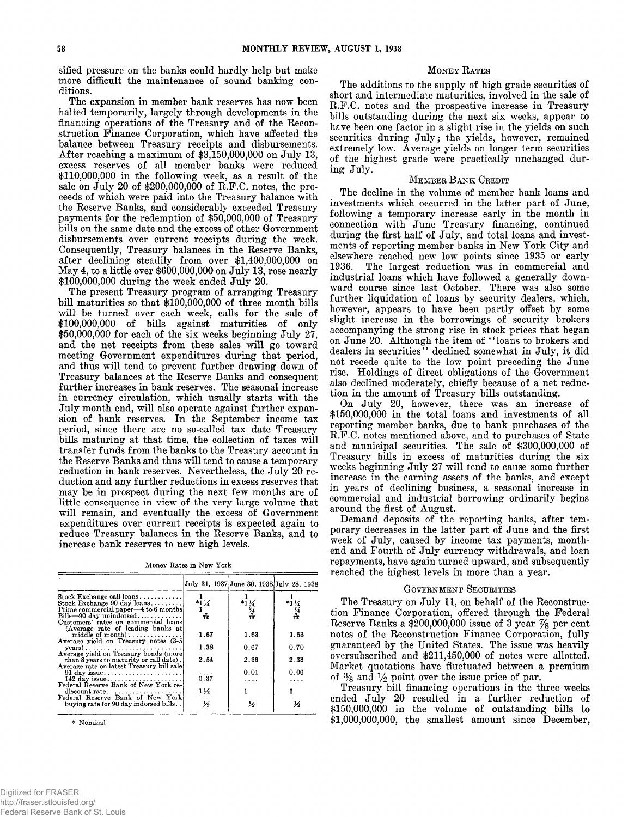**sified pressure on the banks could hardly help but make more difficult the maintenance of sound banking conditions.**

**The expansion in member bank reserves has now been halted temporarily, largely through developments in the financing operations of the Treasury and of the Reconstruction Finance Corporation, which have affected the balance between Treasury receipts and disbursements. After reaching a maximum of \$3,150,000,000 on July 13, excess reserves of all member banks were reduced \$110,000,000 in the following week, as a result of the sale on July 20 of \$200,000,000 of R.F.C. notes, the proceeds of which were paid into the Treasury balance with the Reserve Banks, and considerably exceeded Treasury payments for the redemption of \$50,000,000 of Treasury bills on the same date and the excess of other Government disbursements over current receipts during the week. Consequently, Treasury balances in the Reserve Banks, after declining steadily from over \$1,400,000,000 on May 4, to a little over \$600,000,000 on July 13, rose nearly \$100,000,000 during the week ended July 20.**

**The present Treasury program of arranging Treasury bill maturities so that \$100,000,000 of three month bills will be turned over each week, calls for the sale of \$100,000,000 of bills against maturities of only \$50,000,000 for each of the six weeks beginning July 27, and the net receipts from these sales will go toward meeting Government expenditures during that period, and thus will tend to prevent further drawing down of Treasury balances at the Reserve Banks and consequent further increases in bank reserves. The seasonal increase in currency circulation, which usually starts with the July month end, will also operate against further expansion of bank reserves. In the September income tax period, since there are no so-called tax date Treasury bills maturing at that time, the collection of taxes will transfer funds from the banks to the Treasury account in the Reserve Banks and thus will tend to cause a temporary reduction in bank reserves. Nevertheless, the July 20 reduction and any further reductions in excess reserves that may be in prospect during the next few months are of little consequence in view of the very large volume that will remain, and eventually the excess of Government expenditures over current receipts is expected again to reduce Treasury balances in the Reserve Banks, and to increase bank reserves to new high levels.**

| Money Rates in New York |  |
|-------------------------|--|
|-------------------------|--|

|                                                                       |                 | July 31, 1937 June 30, 1938 July 28, 1938 |                                               |
|-----------------------------------------------------------------------|-----------------|-------------------------------------------|-----------------------------------------------|
| $Stock$ Exchange call loans                                           |                 |                                           |                                               |
| Stock Exchange 90 day loans                                           | $*1\frac{1}{4}$ | $*1\frac{1}{3}\frac{1}{4}$                | $*1\frac{1}{3}\frac{1}{4}$<br>$*1\frac{1}{3}$ |
| Prime commercial paper—4 to 6 months                                  |                 |                                           |                                               |
| $\text{Bills}\rightarrow 90 \text{ day unindorsed} \dots \dots \dots$ | $\mathbf{r}$    |                                           |                                               |
| Customers' rates on commercial loans                                  |                 |                                           |                                               |
| (Average rate of leading banks at                                     | 1.67            | 1.63                                      | 1.63                                          |
| Average yield on Treasury notes (3-5)                                 |                 |                                           |                                               |
| $\textbf{years}$ )                                                    | 1.38            | 0.67                                      | 0.70                                          |
| Average vield on Treasury bonds (more)                                |                 |                                           |                                               |
| than 8 years to maturity or call date).                               | 2.54            | 2.36                                      | 2.33                                          |
| Average rate on latest Treasury bill sale                             |                 |                                           |                                               |
| $91 \text{ day}$ issue                                                | .               | 0.01                                      | 0.06                                          |
| 142 day issue                                                         | 0.37            | $\cdots$                                  |                                               |
| Federal Reserve Bank of New York re-                                  |                 |                                           |                                               |
|                                                                       | $1\frac{1}{2}$  |                                           |                                               |
| buving rate for 90 day indorsed bills                                 | ⅓               | ⅓                                         | ⅓                                             |
|                                                                       |                 |                                           |                                               |

**\* Nominal**

#### **MONEY RATES**

**The additions to the supply of high grade securities of short and intermediate maturities, involved in the sale of R.F.C. notes and the prospective increase in Treasury bills outstanding during the next six weeks, appear to have been one factor in a slight rise in the yields on such securities during July; the yields, however, remained extremely low. Average yields on longer term securities of the highest grade were practically unchanged during July.**

#### **MEMBER BANK CREDIT**

**The decline in the volume of member bank loans and investments which occurred in the latter part of June, following a temporary increase early in the month in connection with June Treasury financing, continued during the first half of July, and total loans and investments of reporting member banks in New York City and elsewhere reached new low points since 1935 or early 1936. The largest reduction was in commercial and industrial loans which have followed a generally downward course since last October. There was also some further liquidation of loans by security dealers, which, however, appears to have been partly offset by some slight increase in the borrowings of security brokers accompanying the strong rise in stock prices that began on June 20. Although the item of " loans to brokers and dealers in securities" declined somewhat in July, it did not recede quite to the low point preceding the June rise. Holdings of direct obligations of the Government also declined moderately, chiefly because of a net reduction in the amount of Treasury bills outstanding.**

**On July 20, however, there was an increase of \$150,000,000 in the total loans and investments of all reporting member banks, due to bank purchases of the R.F.C. notes mentioned above, and to purchases of State and municipal securities. The sale of \$300,000,000 of Treasury bills in excess of maturities during the six weeks beginning July 27 will tend to cause some further increase in the earning assets of the banks, and except in years of declining business, a seasonal increase in commercial and industrial borrowing ordinarily begins around the first of August.**

**Demand deposits of the reporting banks, after temporary decreases in the latter part of June and the first week of July, caused by income tax payments, monthend and Fourth of July currency withdrawals, and loan repayments, have again turned upward, and subsequently reached the highest levels in more than a year.**

#### **GOVERNMENT SECURITIES**

**The Treasury on July 11, on behalf of the Reconstruction Finance Corporation, offered through the Federal Reserve Banks a \$200,000,000 issue of 3 year % per cent notes of the Reconstruction Finance Corporation, fully guaranteed by the United States, The issue was heavily oversubscribed and \$211,450,000 of notes were allotted. Market quotations have fluctuated between a premium of % and % point over the issue price of par.**

**Treasury bill financing operations in the three weeks ended July 20 resulted in a further reduction of \$150,000,000 in the volume of outstanding bills to \$1,000,000,000, the smallest amount since December,**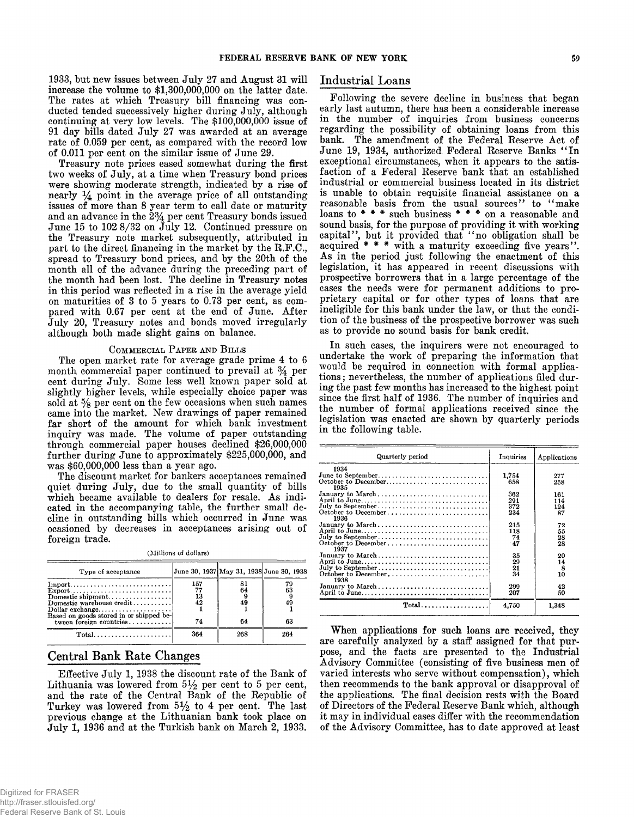**1933, but new issues between July 27 and August 31 will increase the volume to \$1,300,000,000 on the latter date. The rates at which Treasury bill financing was conducted tended successively higher during July, although continuing at very low levels. The \$100,000,000 issue of 91 day bills dated July 27 was awarded at an average rate of 0.059 per cent, as compared with the record low of 0.011 per cent on the similar issue of June 29.**

**Treasury note prices eased somewhat during the first two weeks of July, at a time when Treasury bond prices were showing moderate strength, indicated by a rise of nearly** *%* **point in the average price of all outstanding issues of more than 8 year term to call date or maturity and an advance in the** *2%* **per cent Treasury bonds issued** June 15 to  $102\frac{8}{32}$  on July 12. Continued pressure on **the Treasury note market subsequently, attributed in part to the direct financing in the market by the R.F.C., spread to Treasury bond prices, and by the 20th of the month all of the advance during the preceding part of the month had been lost. The decline in Treasury notes in this period was reflected in a rise in the average yield on maturities of 3 to 5 years to 0.73 per cent, as compared with 0.67 per cent at the end of June. After July 20, Treasury notes and bonds moved irregularly although both made slight gains on balance.**

### COMMERCIAL PAPER AND BILLS

**The open market rate for average grade prime 4 to 6** month commercial paper continued to prevail at  $\frac{3}{4}$  per **cent during July. Some less well known paper sold at slightly higher levels, while especially choice paper was sold at % per cent on the few occasions when such names came into the market. New drawings of paper remained far short of the amount for which bank investment inquiry was made. The volume of paper outstanding through commercial paper houses declined \$26,000,000 further during June to approximately \$225,000,000, and was \$60,000,000 less than a year ago.**

**The discount market for bankers acceptances remained quiet during July, due to the small quantity of bills which became available to dealers for resale. As indicated in the accompanying table, the further small decline in outstanding bills which occurred in June was ocasioned by decreases in acceptances arising out of foreign trade.**

**(Millions of dollars)**

| Type of acceptance                                                 |                       | June 30, 1937 May 31, 1938 June 30, 1938 |                |
|--------------------------------------------------------------------|-----------------------|------------------------------------------|----------------|
| $Export$<br>Dollar exchange                                        | 157<br>77<br>13<br>42 | 81<br>64<br>49                           | 79<br>63<br>49 |
| Based on goods stored in or shipped be-<br>tween foreign countries | 74                    | 64                                       | 63             |
| $Total \dots \dots \dots \dots \dots \dots \dots$                  | 364                   | 268                                      | 964            |

# **Central Bank Rate Changes**

**Effective July 1, 1938 the discount rate of the Bank of** Lithuania was lowered from  $5\frac{1}{2}$  per cent to 5 per cent, **and the rate of the Central Bank of the Republic of Turkey was lowered from 5% to 4 per cent. The last previous change at the Lithuanian bank took place on July 1, 1936 and at the Turkish bank on March 2, 1933.**

## **Industrial Loans**

**Following the severe decline in business that began early last autumn, there has been a considerable increase in the number of inquiries from business concerns regarding the possibility of obtaining loans from this bank. The amendment of the Federal Reserve Act of June 19, 1934, authorized Federal Reserve Banks " In exceptional circumstances, when it appears to the satisfaction of a Federal Reserve bank that an established industrial or commercial business located in its district is unable to obtain requisite financial assistance on a reasonable basis from the usual sources" to " make loans to \* # \* such business \* # \* on a reasonable and sound basis, for the purpose of providing it with working capital" , but it provided that " no obligation shall be acquired \* \*** *\** **with a maturity exceeding five years" . As in the period just following the enactment of this legislation, it has appeared in recent discussions with prospective borrowers that in a large percentage of the cases the needs were for permanent additions to proprietary capital or for other types of loans that are ineligible for this bank under the law, or that the condition of the business of the prospective borrower was such as to provide no sound basis for bank credit.**

**In such cases, the inquirers were not encouraged to undertake the work of preparing the information that would be required in connection with formal applications ; nevertheless, the number of applications filed during the past few months has increased to the highest point since the first half of 1936. The number of inquiries and the number of formal applications received since the legislation was enacted are shown by quarterly periods in the following table.**

| Quarterly period                                                                                                                                                                                                                    | Inquiries                                                           | Applications                                                  |
|-------------------------------------------------------------------------------------------------------------------------------------------------------------------------------------------------------------------------------------|---------------------------------------------------------------------|---------------------------------------------------------------|
| 1934<br>$October to December \dots \dots \dots \dots \dots \dots \dots \dots \dots$<br>1935<br>January to March<br>July to September<br>October to December<br>1936<br>January to March<br>July to September<br>October to December | 1.754<br>658<br>362<br>291<br>372<br>234<br>215<br>118<br>74<br>-47 | 277<br>258<br>161<br>114<br>124<br>87<br>72<br>55<br>28<br>28 |
| 1937<br>October to December<br>1938<br>April to June                                                                                                                                                                                | 35<br>29<br>21<br>34<br>299<br>207                                  | 20<br>14<br>8<br>10<br>42<br>50                               |
| $Total$                                                                                                                                                                                                                             | 4,750                                                               | 1.348                                                         |

**When applications for such loans are received, they are carefully analyzed by a staff assigned for that purpose, and the facts are presented to the Industrial Advisory Committee (consisting of five business men of varied interests who serve without compensation), which then recommends to the bank approval or disapproval of the applications. The final decision rests with the Board of Directors of the Federal Reserve Bank which, although it may in individual cases differ with the recommendation of the Advisory Committee, has to date approved at least**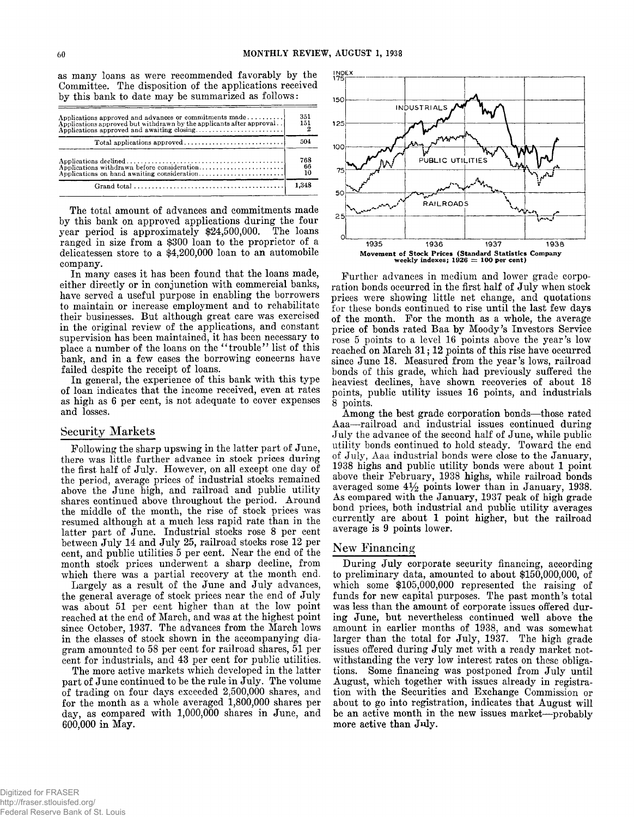**as many loans as were recommended favorably by the Committee. The disposition of the applications received by this bank to date may be summarized as follows:**

| Total applications approved $\ldots, \ldots, \ldots, \ldots, \ldots, \ldots$ |                 |
|------------------------------------------------------------------------------|-----------------|
|                                                                              | 504             |
|                                                                              | 768<br>66<br>10 |
|                                                                              | 1,348           |

**The total amount of advances and commitments made by this bank on approved applications during the four year period is approximately \$24,500,000. The loans ranged in size from a \$300 loan to the proprietor of a delicatessen store to a \$4,200,000 loan to an automobile company.**

**In many cases it has been found that the loans made, either directly or in conjunction with commercial banks, have served a useful purpose in enabling the borrowers to maintain or increase employment and to rehabilitate their businesses. But although great care was exercised in the original review of the applications, and constant supervision has been maintained, it has been necessary to place a number of the loans on the \*\* trouble' ' list of this bank, and in a few cases the borrowing concerns have failed despite the receipt of loans.**

**In general, the experience of this bank with this type of loan indicates that the income received, even at rates as high as 6 per cent, is not adequate to cover expenses and losses.**

## **Security Markets**

**Following the sharp upswing in the latter part of June, there was little further advance in stock prices during the first half of July. However, on all except one day of the period, average prices of industrial stocks remained above the June high, and railroad and public utility shares continued above throughout the period. Around the middle of the month, the rise of stock prices was resumed although at a much less rapid rate than in the latter part of June. Industrial stocks rose 8 per cent between July 14 and July 25, railroad stocks rose 12 per cent, and public utilities 5 per cent. Near the end of the month stock prices underwent a sharp decline, from which there was a partial recovery at the month end.**

**Largely as a result of the June and July advances, the general average of stock prices near the end of July was about 51 per cent higher than at the low point reached at the end of March, and was at the highest point since October, 1937. The advances from the March lows in the classes of stock shown in the accompanying diagram amounted to 58 per cent for railroad shares, 51 per cent for industrials, and 43 per cent for public utilities.**

**The more active markets which developed in the latter part of June continued to be the rule in July. The volume of trading on four days exceeded 2,500,000 shares, and for the month as a whole averaged 1,800,000 shares per day, as compared with 1,000,000 shares in June, and 600,000 in May.**



**Further advances in medium and lower grade corporation bonds occurred in the first half of July when stock prices were showing little net change, and quotations for these bonds continued to rise until the last few days of the month. For the month as a whole, the average price of bonds rated Baa by Moody's Investors Service rose 5 points to a level 16 points above the year's low reached on March 31; 12 points of this rise have occurred since June 18. Measured from the year's lows, railroad bonds of this grade, which had previously suffered the heaviest declines, have shown recoveries of about 18 points, public utility issues 16 points, and industrials 8 points.**

**Among the best grade corporation bonds— those rated Aaa— railroad and industrial issues continued during July the advance of the second half of June, while public utility bonds continued to hold steady. Toward the end of July, Aaa industrial bonds were close to the January, 1938 highs and public utility bonds were about 1 point above their February, 1938 highs, while railroad bonds averaged some 4% points lower than in January, 1938. As compared with the January, 1937 peak of high grade bond prices, both industrial and public utility averages currently are about 1 point higher, but the railroad average is 9 points lower.**

## New Financing

**During July corporate security financing, according to preliminary data, amounted to about \$150,000,000, of which some \$105,000,000 represented the raising of funds for new capital purposes. The past month's total was less than the amount of corporate issues offered during June, but nevertheless continued well above the amount in earlier months of 1938, and was somewhat larger than the total for July, 1937. The high grade issues offered during July met with a ready market notwithstanding the very low interest rates on these obligations. Some financing was postponed from July until August, which together with issues already in registration with the Securities and Exchange Commission or about to go into registration, indicates that August will be an active month in the new issues market— probably more active than July.**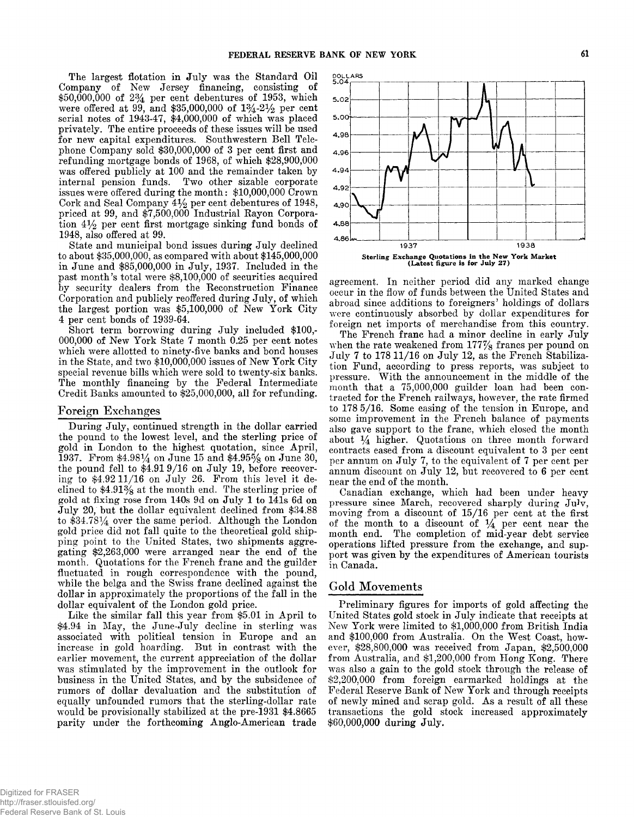**The largest flotation in July was the Standard Oil Company of New Jersey financing, consisting of \$50,000,000 of 2% per cent debentures of 1953, which** were offered at 99, and \$35,000,000 of  $1\frac{3}{4}$ -2<sup>1</sup>/<sub>2</sub> per cent **serial notes of 1943-47, \$4,000,000 of which was placed privately. The entire proceeds of these issues will be used for new capital expenditures. Southwestern Bell Telephone Company sold \$30,000,000 of 3 per cent first and refunding mortgage bonds of 1968, of which \$28,900,000 was offered publicly at 100 and the remainder taken by internal pension funds. Two other sizable corporate issues wrere offered during the month: \$10,000,000 Crown Cork and Seal Company 4% per cent debentures of 1948, priced at 99, and \$7,500,000 Industrial Rayon Corporation 4% per cent first mortgage sinking fund bonds of 1948, also offered at 99.**

**State and municipal bond issues during July declined to about \$35,000,000, as compared with about \$145,000,000 in June and \$85,000,000 in July, 1937. Included in the past month's total were \$8,100,000 of securities acquired by security dealers from the Reconstruction Finance Corporation and publicly reoffered during July, of which the largest portion was \$5,100,000 of New York City 4 per cent bonds of 1939-64.**

**Short term borrowing during July included \$100,- 000,000 of New York State 7 month 0.25 per cent notes which were allotted to ninety-five banks and bond houses in the State, and two \$10,000,000 issues of New York City special revenue bills which were sold to twenty-six banks. The monthly financing by the Federal Intermediate Credit Banks amounted to \$25,000,000, all for refunding.**

## **Foreign Exchanges**

**During July, continued strength in the dollar carried the pound to the lowest level, and the sterling price of gold in London to the highest quotation, since April, 1937. From \$4.98\*4 on June 15 and \$4.95% on June 30, the pound fell to \$4.91 9/16 on July 19, before recovering to \$4.92 11/16 on July 26. From this level it declined to \$4.91% at the month end. The sterling price of gold at fixing rose from 140s 9d on July 1 to 141s 6d on July 20, but the dollar equivalent declined from \$34.88 to \$34.7814 over the same period. Although the London gold price did not fall quite to the theoretical gold shipping point to the United States, two shipments aggregating \$2,263,000 were arranged near the end of the month. Quotations for the French franc and the guilder fluctuated in rough correspondence with the pound, while the belga and the Swiss franc declined against the dollar in approximately the proportions of the fall in the dollar equivalent of the London gold price.**

**Like the similar fall this year from \$5.01 in April to \$4.94 in May, the June-July decline in sterling was associated with political tension in Europe and an increase in gold hoarding. But in contrast with the earlier movement, the current appreciation of the dollar was stimulated by the improvement in the outlook for business in the United States, and by the subsidence of rumors of dollar devaluation and the substitution of equally unfounded rumors that the sterling-dollar rate would be provisionally stabilized at the pre-1931 \$4.8665 parity under the forthcoming Anglo-American trade**



**agreement. In neither period did any marked change occur in the flow of funds between the United States and abroad since additions to foreigners' holdings of dollars were continuously absorbed by dollar expenditures for foreign net imports of merchandise from this country.**

**The French franc had a minor decline in early July when the rate weakened from 177% francs per pound on July 7 to 178 11/16 on July 12, as the French Stabilization Fund, according to press reports, was subject to pressure. With the announcement in the middle of the month that a 75,000,000 guilder loan had been contracted for the French railways, however, the rate firmed to 178 5/16. Some easing of the tension in Europe, and some improvement in the French balance of payments also gave support to the franc, which closed the month about \*4 higher. Quotations on three month forward contracts eased from a discount equivalent to 3 per cent per annum on July 7, to the equivalent of 7 per cent per annum discount on July 12, but recovered to 6 per cent near the end of the month.**

**Canadian exchange, which had been under heavy** pressure since March, recovered sharply during July, **moving from a discount of 15/16 per cent at the first of the month to a discount of % per cent near the month end. The completion of mid-year debt service operations lifted pressure from the exchange, and support was given by the expenditures of American tourists in Canada.**

## Gold Movements

**Preliminary figures for imports of gold affecting the United States gold stock in July indicate that receipts at New York were limited to \$1,000,000 from British India and \$100,000 from Australia. On the West Coast, however, \$28,800,000 was received from Japan, \$2,500,000 from Australia, and \$1,200,000 from Hong Kong. There was also a gain to the gold stock through the release of \$2,200,000 from foreign earmarked holdings at the Federal Reserve Bank of New York and through receipts of newly mined and scrap gold. As a result of all these transactions the gold stock increased approximately \$60,000,000 during July.**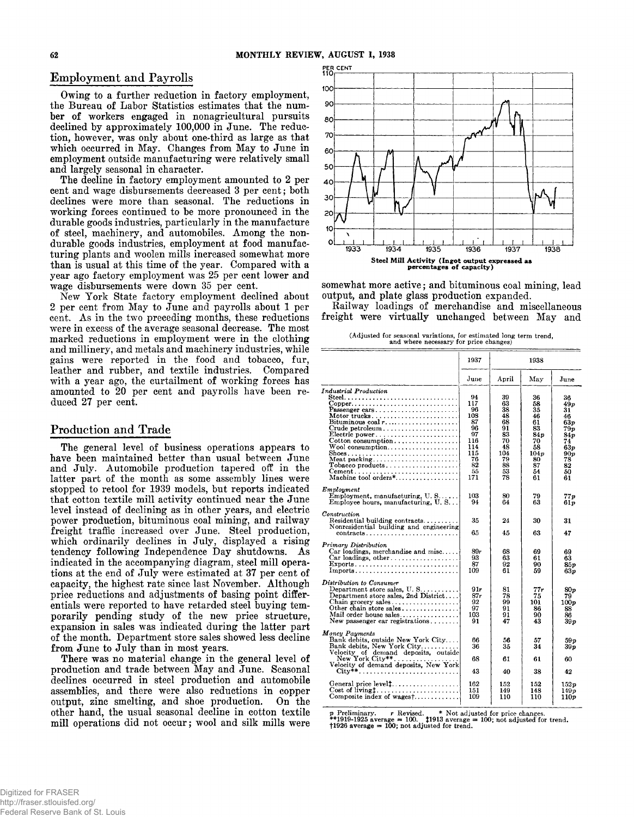## **Employment and Payrolls**

**Owing to a further reduction in factory employment, the Bureau of Labor Statistics estimates that the number of workers engaged in nonagricultural pursuits declined by approximately 100,000 in June. The reduction, however, was only about one-third as large as that which occurred in May. Changes from May to June in employment outside manufacturing were relatively small and largely seasonal in character.**

**The decline in factory employment amounted to 2 per cent and wage disbursements decreased 3 per cent; both declines were more than seasonal. The reductions in working forces continued to be more pronounced in the durable goods industries, particularly in the manufacture of steel, machinery, and automobiles. Among the nondurable goods industries, employment at food manufacturing plants and woolen mills increased somewhat more than is usual at this time of the year. Compared with a year ago factory employment was 25 per cent lower and wage disbursements were down 35 per cent.**

**New York State factory employment declined about 2 per cent from May to June and payrolls about 1 per cent. As in the two preceding months, these reductions were in excess of the average seasonal decrease. The most marked reductions in employment were in the clothing and millinery, and metals and machinery industries, while gains were reported in the food and tobacco, fur, leather and rubber, and textile industries. Compared with a year ago, the curtailment of working forces has amounted to 20 per cent and payrolls have been reduced 27 per cent.**

## **Production and Trade**

**The general level of business operations appears to have been maintained better than usual between June and July. Automobile production tapered off in the latter part of the month as some assembly lines were stopped to retool for 1939 models, but reports indicated that cotton textile mill activity continued near the June level instead of declining as in other years, and electric power production, bituminous coal mining, and railway freight traffic increased over June. Steel production, which ordinarily declines in July, displayed a rising tendency following Independence Day shutdowns. As indicated in the accompanying diagram, steel mill operations at the end of July were estimated at 37 per cent of capacity, the highest rate since last November. Although price reductions and adjustments of basing point differentials were reported to have retarded steel buying temporarily pending study of the new price structure, expansion in sales was indicated during the latter part of the month. Department store sales showed less decline from June to July than in most years.**

**There was no material change in the general level of production and trade between May and June. Seasonal declines occurred in steel production and automobile assemblies, and there were also reductions in copper output, zinc smelting, and shoe production. On the other hand, the usual seasonal decline in cotton textile mill operations did not occur; wool and silk mills were**



**somewhat more active; and bituminous coal mining, lead output, and plate glass production expanded.**

**Railway loadings of merchandise and miscellaneous freight were virtually unchanged between May and**

**(Adjusted for seasonal variations, for estimated long term trend, and where necessary for price changes)**

|                                                                                                                                                                                                                                                                                                                                                                   | 1937                                                                                   | 1938                                                                              |                                                                                      |                                                                                              |
|-------------------------------------------------------------------------------------------------------------------------------------------------------------------------------------------------------------------------------------------------------------------------------------------------------------------------------------------------------------------|----------------------------------------------------------------------------------------|-----------------------------------------------------------------------------------|--------------------------------------------------------------------------------------|----------------------------------------------------------------------------------------------|
|                                                                                                                                                                                                                                                                                                                                                                   | June                                                                                   | April                                                                             | Mav                                                                                  | June                                                                                         |
| <b>Industrial Production</b><br>$Copper \ldots \ldots \ldots \ldots \ldots \ldots \ldots \ldots \ldots$<br>Passenger cars<br>Motor trucks<br>Bituminous $\cosh r$<br>$Crude$ petroleum<br>Electric power<br>$Wool$ consumption<br>Meat packing<br>$\text{Tobacco products} \dots \dots \dots \dots \dots \dots \dots$<br>Cement. <i>.</i><br>Machine tool orders* | 94<br>117<br>96<br>108<br>87<br>96<br>97<br>116<br>114<br>115<br>76<br>82<br>55<br>171 | 39<br>63<br>38<br>48<br>68<br>91<br>83<br>70<br>48<br>104<br>79<br>88<br>53<br>78 | 36<br>58<br>35<br>46<br>61<br>83<br>84 p<br>70<br>58<br>104p<br>80<br>87<br>54<br>61 | 36<br>49 v<br>31<br>46<br>63 v<br>79 p<br>84 p<br>74<br>63 p<br>90 p<br>78<br>82<br>50<br>61 |
| Employment<br>Employment, manufacturing, $U. S. \ldots$ .<br>Employee hours, manufacturing, U.S                                                                                                                                                                                                                                                                   | 103<br>94                                                                              | 80<br>64                                                                          | 79<br>63                                                                             | 77 p<br>61 p                                                                                 |
| $\emph{Construction}$<br>Residential building contracts<br>Nonresidential building and engineering<br>$contracts \ldots \ldots \ldots \ldots \ldots \ldots \ldots$                                                                                                                                                                                                | 35<br>65                                                                               | 24<br>45                                                                          | 30<br>63                                                                             | 31<br>47                                                                                     |
| Primary Distribution<br>Car loadings, merchandise and misc<br>$Car$ loadings, other $\dots \dots \dots \dots \dots$<br>Exports                                                                                                                                                                                                                                    | 89r<br>93<br>87<br>109                                                                 | 68<br>63<br>92<br>61                                                              | 69<br>61<br>90<br>59                                                                 | 69<br>63<br>85 p<br>63 p                                                                     |
| Distribution to Consumer<br>Department store sales, U.S<br>Department store sales, 2nd District<br>Other chain store sales<br>Mail order house sales<br>New passenger car registrations                                                                                                                                                                           | 91r<br>87r<br>92<br>97<br>103<br>91                                                    | 81<br>78<br>99<br>91<br>91<br>47                                                  | 77r<br>75<br>101<br>86<br>90<br>43                                                   | 80p<br>79<br>$_{100p}$<br>88<br>86<br>39p                                                    |
| Money Payments<br>Bank debits, outside New York City<br>Bank debits, New York City<br>Velocity of demand deposits, outside                                                                                                                                                                                                                                        | 66<br>36<br>68                                                                         | 56<br>35<br>61                                                                    | 57<br>34<br>61                                                                       | 59 p<br>39 p<br>60                                                                           |
| General price level:<br>Cost of $\lim_{n \to \infty}$<br>Composite index of wages $\uparrow$                                                                                                                                                                                                                                                                      | 43<br>162<br>151<br>109                                                                | 40<br>152<br>149<br>110                                                           | 38<br>152<br>148<br>110                                                              | 42<br>152 p<br>149p<br>110p                                                                  |

**p Preliminary. r Revised. \* Not adjusted for price changes. \*\*1919-1925 average = 100. \$1913 average = 100; not adjusteid for trend. t!926 average = 100; not adjusted for trend.**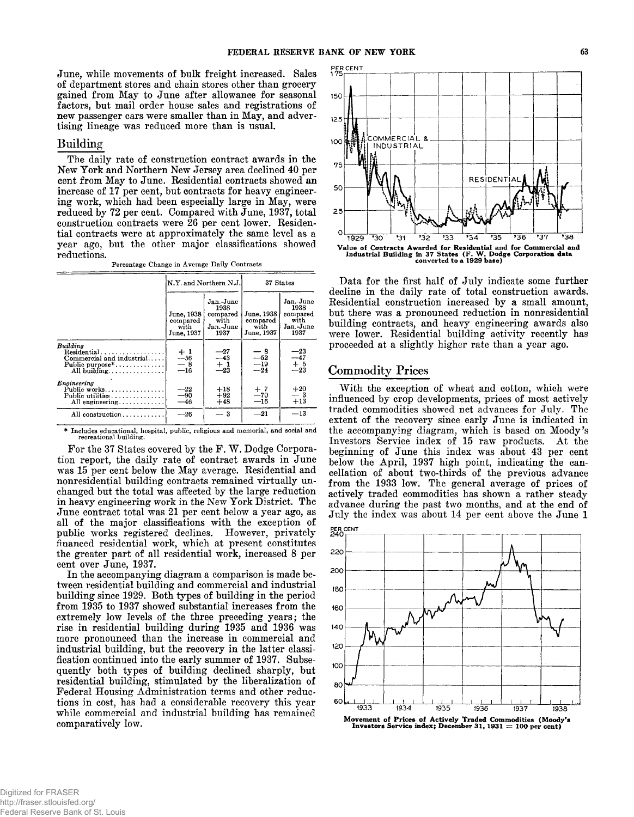**June, while movements of bulk freight increased. Sales of department stores and chain stores other than grocery gained from May to June after allowance for seasonal factors, but mail order house sales and registrations of new passenger cars were smaller than in May, and advertising lineage was reduced more than is usual.**

## **Building**

**The daily rate of construction contract awards in the New York and Northern New Jersey area declined 40 per cent from May to June. Residential contracts showed an increase of 17 per cent, but contracts for heavy engineering work, which had been especially large in May, were reduced by 72 per cent. Compared with June, 1937, total construction contracts were 26 per cent lower. Residential contracts were at approximately the same level as a year ago, but the other major classifications showed reductions.**

**Percentage Change in Average Daily Contracts**

|                                                                                                             |                                                                 | N.Y. and Northern N.J.                                     | 37 States                                    |                                                            |  |
|-------------------------------------------------------------------------------------------------------------|-----------------------------------------------------------------|------------------------------------------------------------|----------------------------------------------|------------------------------------------------------------|--|
|                                                                                                             | June, 1938<br>compared<br>with<br>June, 1937                    | Jan.-June<br>1938<br>compared<br>with<br>Jan.-June<br>1937 | June, 1938<br>compared<br>with<br>June, 1937 | Jan.-June<br>1938<br>compared<br>with<br>Jan.-June<br>1937 |  |
| Building<br>Residential<br>Commercial and industrial<br>Public purpose $*, \ldots, \ldots,$<br>All building | $\begin{array}{c} + \ 1 \\ - \ 56 \\ - \ 8 \\ - 16 \end{array}$ | $-27$<br>$\frac{-43}{+1}$                                  | — 8<br>$\frac{-52}{-19}$<br>$-24$            | $\frac{-23}{-47}$<br>+ 5<br>$-23$                          |  |
| Engineering<br>Public works<br>Public utilities<br>All engineering                                          | $\frac{-22}{-90}$<br>$-46$                                      | $+18$<br>$+92$<br>$+48$                                    | $\substack{+7 \\ -70 \\ -16}$                | $+20$<br>$-3$<br>$+13$                                     |  |
| All construction                                                                                            | $-26$                                                           | - 3                                                        | $-21$                                        | $-13$                                                      |  |

**\* Includes educational, hospital, public, religious and memorial, and social and recreational building.**

For the 37 States covered by the F. W. Dodge Corpora**tion report, the daily rate of contract awards in June was 15 per cent below the May average. Residential and nonresidential building contracts remained virtually unchanged but the total was affected by the large reduction in heavy engineering work in the New York District. The June contract total was 21 per cent below a year ago, as all of the major classifications with the exception of public works registered declines. However, privately financed residential work, which at present constitutes the greater part of all residential work, increased 8 per cent over June, 1937.**

**In the accompanying diagram a comparison is made between residential building and commercial and industrial building since 1929. Both types of building in the period from 1935 to 1937 showed substantial increases from the extremely low levels of the three preceding years; the rise in residential building during 1935 and 1936 was more pronounced than the increase in commercial and industrial building, but the recovery in the latter classification continued into the early summer of 1937. Subsequently both types of building declined sharply, but residential building, stimulated by the liberalization of Federal Housing Administration terms and other reductions in cost, has had a considerable recovery this year while commercial and industrial building has remained comparatively low.**



**Data for the first half of July indicate some further decline in the daily rate of total construction awards. Residential construction increased by a small amount, but there was a pronounced reduction in nonresidential building contracts, and heavy engineering awards also were lower. Residential building activity recently has proceeded at a slightly higher rate than a year ago.**

## **C om m odity Prices**

**With the exception of wheat and cotton, which were influenced by crop developments, prices of most actively traded commodities showed net advances for July. The extent of the recovery since early June is indicated in the accompanying diagram, which is based on Moody's Investors Service index of 15 raw products. At the beginning of June this index was about 43 per cent below the April, 1937 high point, indicating the cancellation of about two-thirds of the previous advance from the 1933 low. The general average of prices of actively traded commodities has shown a rather steady advance during the past two months, and at the end of July the index was about 14 per cent above the June 1**



Movement of Prices of Actively Traded Commodities (Moody's Investors Service index; December 31, 1931 = 100 per cent)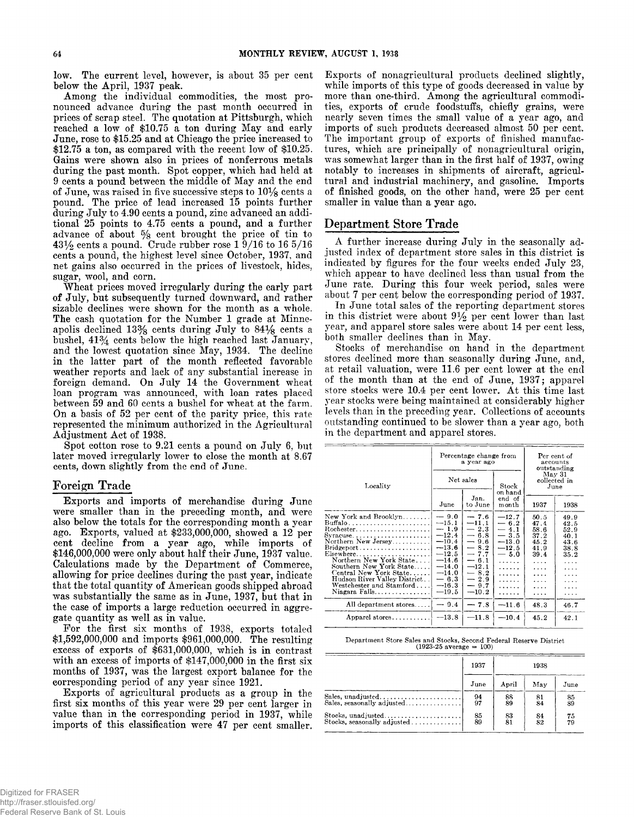**low. The current level, however, is about 35 per cent below the April, 1937 peak.**

**Among the individual commodities, the most pronounced advance during the past month occurred in prices of scrap steel. The quotation at Pittsburgh, which reached a low of \$10.75 a ton during May and early June, rose to \$15.25 and at Chicago the price increased to \$12.75 a ton, as compared with the recent low of \$10.25. Gains were shown also in prices of nonferrous metals during the past month. Spot copper, which had held at 9 cents a pound between the middle of May and the end of June, was raised in five successive steps to 10% cents a pound. The price of lead increased 15 points further during July to 4.90 cents a pound, zinc advanced an additional 25 points to 4.75 cents a pound, and a further advance of about % cent brought the price of tin to 43% cents a pound. Crude rubber rose 1 9/16 to 16 5/16 cents a pound, the highest level since October, 1937, and net gains also occurred in the prices of livestock, hides, sugar, wool, and corn.**

**Wheat prices moved irregularly during the early part of July, but subsequently turned downward, and rather sizable declines were shown for the month as a whole. The cash quotation for the Number 1 grade at Minneapolis declined 13% cents during July to 84% cents a bushel, 41% cents below the high reached last January, and the lowest quotation since May, 1934. The decline in the latter part of the month reflected favorable weather reports and lack of any substantial increase in foreign demand. On July 14 the Government wheat loan program was announced, with loan rates placed between 59 and 60 cents a bushel for wheat at the farm. On a basis of 52 per cent of the parity price, this rate represented the minimum authorized in the Agricultural Adjustment Act of 1938.**

**Spot cotton rose to 9.21 cents a pound on July 6, but later moved irregularly lower to close the month at 8.67 cents, down slightly from the end of June.**

## **Foreign Trade**

**Exports and imports of merchandise during June were smaller than in the preceding month, and were also below the totals for the corresponding month a year ago. Exports, valued at \$233,000,000, showed a 12 per cent decline from a year ago, while imports of \$146,000,000 were only about half their June, 1937 value. Calculations made by the Department of Commerce, allowing for price declines during the past year, indicate that the total quantity of American goods shipped abroad was substantially the same as in June, 1937, but that in the case of imports a large reduction occurred in aggregate quantity as well as in value.**

**For the first six months of 1938, exports totaled \$1,592,000,000 and imports \$961,000,000. The resulting excess of exports of \$631,000,000, which is in contrast with an excess of imports of \$147,000,000 in the first six months of 1937, was the largest export balance for the corresponding period of any year since 1921.**

**Exports of agricultural products as a group in the first six months of this year were 29 per cent larger in value than in the corresponding period in 1937, while imports of this classification were 47 per cent smaller.** **Exports of nonagricultural products declined slightly, while imports of this type of goods decreased in value by more than one-third. Among the agricultural commodities, exports of crude foodstuffs, chiefly grains, were nearly seven times the small value of a year ago, and imports of such products decreased almost 50 per cent. The important group of exports of finished manufactures, which are principally of nonagricultural origin, was somewhat larger than in the first half of 1937, owing notably to increases in shipments of aircraft, agricultural and industrial machinery, and gasoline. Imports of finished goods, on the other hand, were 25 per cent smaller in value than a year ago.**

## **Department Store Trade**

**A further increase during July in the seasonally adjusted index of department store sales in this district is indicated by figures for the four weeks ended July 23, which appear to have declined less than usual from the June rate. During this four week period, sales were about 7 per cent below the corresponding period of 1937.**

**In June total sales of the reporting department stores** in this district were about  $9\frac{1}{2}$  per cent lower than last **year, and apparel store sales were about 14 per cent less, both smaller declines than in May.**

**Stocks of merchandise on hand in the department stores declined more than seasonally during June, and,** at retail valuation, were 11.6 per cent lower at the end **of the month than at the end of June, 1937; apparel store stocks were 10.4 per cent lower. At this time last year stocks were being maintained at considerably higher levels than in the preceding year. Collections of accounts outstanding continued to be slower than a year ago, both in the department and apparel stores.**

|                                                                                                                                                                                                                                                                                     |                                                                                                                                          | Percentage change from<br>a year ago                                                                                              | Per cent of<br>accounts<br>outstanding<br>May 31<br>collected in<br>June                            |                                                                                                                |                                                                                           |
|-------------------------------------------------------------------------------------------------------------------------------------------------------------------------------------------------------------------------------------------------------------------------------------|------------------------------------------------------------------------------------------------------------------------------------------|-----------------------------------------------------------------------------------------------------------------------------------|-----------------------------------------------------------------------------------------------------|----------------------------------------------------------------------------------------------------------------|-------------------------------------------------------------------------------------------|
| Locality                                                                                                                                                                                                                                                                            | Net sales                                                                                                                                |                                                                                                                                   |                                                                                                     |                                                                                                                | Stock<br>on hand                                                                          |
|                                                                                                                                                                                                                                                                                     | June                                                                                                                                     | Jan.<br>to June                                                                                                                   | end of<br>month                                                                                     | 1937                                                                                                           | 1938                                                                                      |
| New York and Brooklyn<br>Buffalo<br>Syracuse<br>Northern New Jersey<br>$Bridgeport \ldots \ldots \ldots \ldots \ldots$<br>Northern New York State<br>Southern New York State<br>Central New York State<br>Hudson River Valley District<br>Westchester and Stamford<br>Niagara Falls | $-9.0$<br>$-15.1$<br>$-1.9$<br>$-12.4$<br>$-10.4$<br>$-13.6$<br>$-12.5$<br>$-14.6$<br>$-14.0$<br>$-14.0$<br>$-6.3$<br>$-16.3$<br>$-19.5$ | $-7.6$<br>$-11.1$<br>$-2.3$<br>$-6.8$<br>$-9.6$<br>$-8.2$<br>$-7.7$<br>$-6.1$<br>$-12.1$<br>$-8.2$<br>$-2.9$<br>$-9.7$<br>$-10.2$ | $-12.7$<br>$-6.2$<br>$-4.1$<br>$-3.5$<br>$-13.0$<br>$-12.5$<br>$-5.0$<br>.<br>.<br>.<br>.<br>.<br>. | 50.5<br>47.4<br>58.6<br>37.2<br>45.2<br>41.9<br>39.4<br>$\cdots$<br>$\cdots$<br>.<br>$\cdots$<br>.<br>$\cdots$ | 49.9<br>42.5<br>52.9<br>40.1<br>43.6<br>38.8<br>35.2<br>.<br>.<br>.<br>.<br>.<br>$\cdots$ |
| All department stores                                                                                                                                                                                                                                                               | $-9.4$                                                                                                                                   | $-7.8$                                                                                                                            | $-11.6$                                                                                             | 48.3                                                                                                           | 46.7                                                                                      |
| Apparel stores                                                                                                                                                                                                                                                                      | $-13.8$                                                                                                                                  | $-11.8$                                                                                                                           | $-10.4$                                                                                             | 45.2                                                                                                           | 42.1                                                                                      |

**Department Store Sales and Stocks, Second Federal Reserve District (1923-25 average = 100)**

|                             | 1937 | 1938  |     |                 |
|-----------------------------|------|-------|-----|-----------------|
|                             | June | April | May | June            |
| Sales, unadjusted           | 94   | 88    | 81  | $\frac{85}{89}$ |
| Sales, seasonally adjusted  | 97   | 89    | 84  |                 |
| Stocks. unadjusted          | 85   | 83    | 84  | $^{75}_{79}$    |
| Stocks, seasonally adjusted | 89   | 81    | 82  |                 |